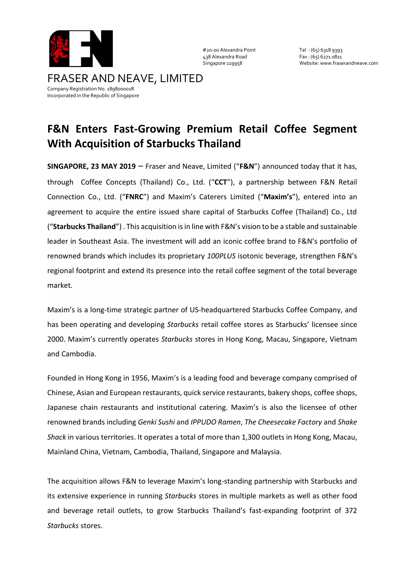

#20-00 Alexandra Point Tel : (65) 6318 9393 438 Alexandra Road Fax : (65) 6271 0811

Singapore 119958 Website: www.fraserandneave.com

## **F&N Enters Fast-Growing Premium Retail Coffee Segment With Acquisition of Starbucks Thailand**

**SINGAPORE, 23 MAY 2019** – Fraser and Neave, Limited ("**F&N**") announced today that it has, through Coffee Concepts (Thailand) Co., Ltd. ("**CCT**"), a partnership between F&N Retail Connection Co., Ltd. ("**FNRC**") and Maxim's Caterers Limited ("**Maxim's**"), entered into an agreement to acquire the entire issued share capital of Starbucks Coffee (Thailand) Co., Ltd ("**Starbucks Thailand**") . This acquisition is in line with F&N's vision to be a stable and sustainable leader in Southeast Asia. The investment will add an iconic coffee brand to F&N's portfolio of renowned brands which includes its proprietary *100PLUS* isotonic beverage, strengthen F&N's regional footprint and extend its presence into the retail coffee segment of the total beverage market*.*

Maxim's is a long-time strategic partner of US-headquartered Starbucks Coffee Company, and has been operating and developing *Starbucks* retail coffee stores as Starbucks' licensee since 2000. Maxim's currently operates *Starbucks* stores in Hong Kong, Macau, Singapore, Vietnam and Cambodia.

Founded in Hong Kong in 1956, Maxim's is a leading food and beverage company comprised of Chinese, Asian and European restaurants, quick service restaurants, bakery shops, coffee shops, Japanese chain restaurants and institutional catering. Maxim's is also the licensee of other renowned brands including *Genki Sushi* and *IPPUDO Ramen*, *The Cheesecake Factory* and *Shake Shack* in various territories. It operates a total of more than 1,300 outlets in Hong Kong, Macau, Mainland China, Vietnam, Cambodia, Thailand, Singapore and Malaysia.

The acquisition allows F&N to leverage Maxim's long-standing partnership with Starbucks and its extensive experience in running *Starbucks* stores in multiple markets as well as other food and beverage retail outlets, to grow Starbucks Thailand's fast-expanding footprint of 372 *Starbucks* stores.